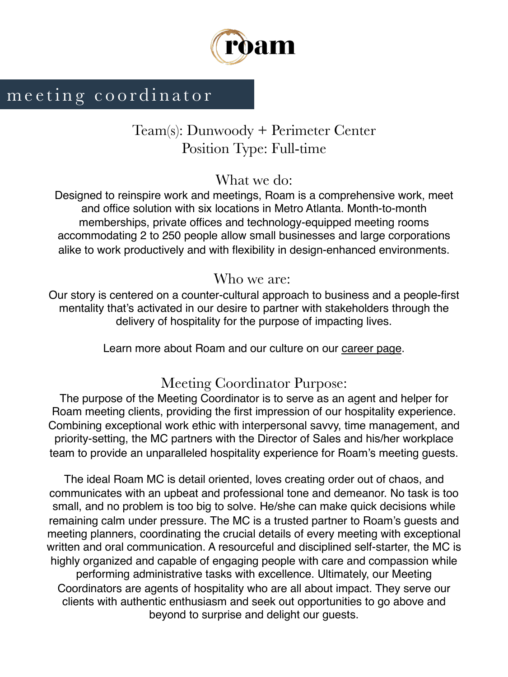

# meeting coordinator

## Team(s): Dunwoody + Perimeter Center Position Type: Full-time

### What we do:

Designed to reinspire work and meetings, Roam is a comprehensive work, meet and office solution with six locations in Metro Atlanta. Month-to-month memberships, private offices and technology-equipped meeting rooms accommodating 2 to 250 people allow small businesses and large corporations alike to work productively and with flexibility in design-enhanced environments.

### Who we are:

Our story is centered on a counter-cultural approach to business and a people-first mentality that's activated in our desire to partner with stakeholders through the delivery of hospitality for the purpose of impacting lives.

Learn more about Roam and our culture on our career page.

## Meeting Coordinator Purpose:

The purpose of the Meeting Coordinator is to serve as an agent and helper for Roam meeting clients, providing the first impression of our hospitality experience. Combining exceptional work ethic with interpersonal savvy, time management, and priority-setting, the MC partners with the Director of Sales and his/her workplace team to provide an unparalleled hospitality experience for Roam's meeting guests.

The ideal Roam MC is detail oriented, loves creating order out of chaos, and communicates with an upbeat and professional tone and demeanor. No task is too small, and no problem is too big to solve. He/she can make quick decisions while remaining calm under pressure. The MC is a trusted partner to Roam's guests and meeting planners, coordinating the crucial details of every meeting with exceptional written and oral communication. A resourceful and disciplined self-starter, the MC is highly organized and capable of engaging people with care and compassion while performing administrative tasks with excellence. Ultimately, our Meeting Coordinators are agents of hospitality who are all about impact. They serve our clients with authentic enthusiasm and seek out opportunities to go above and beyond to surprise and delight our guests.